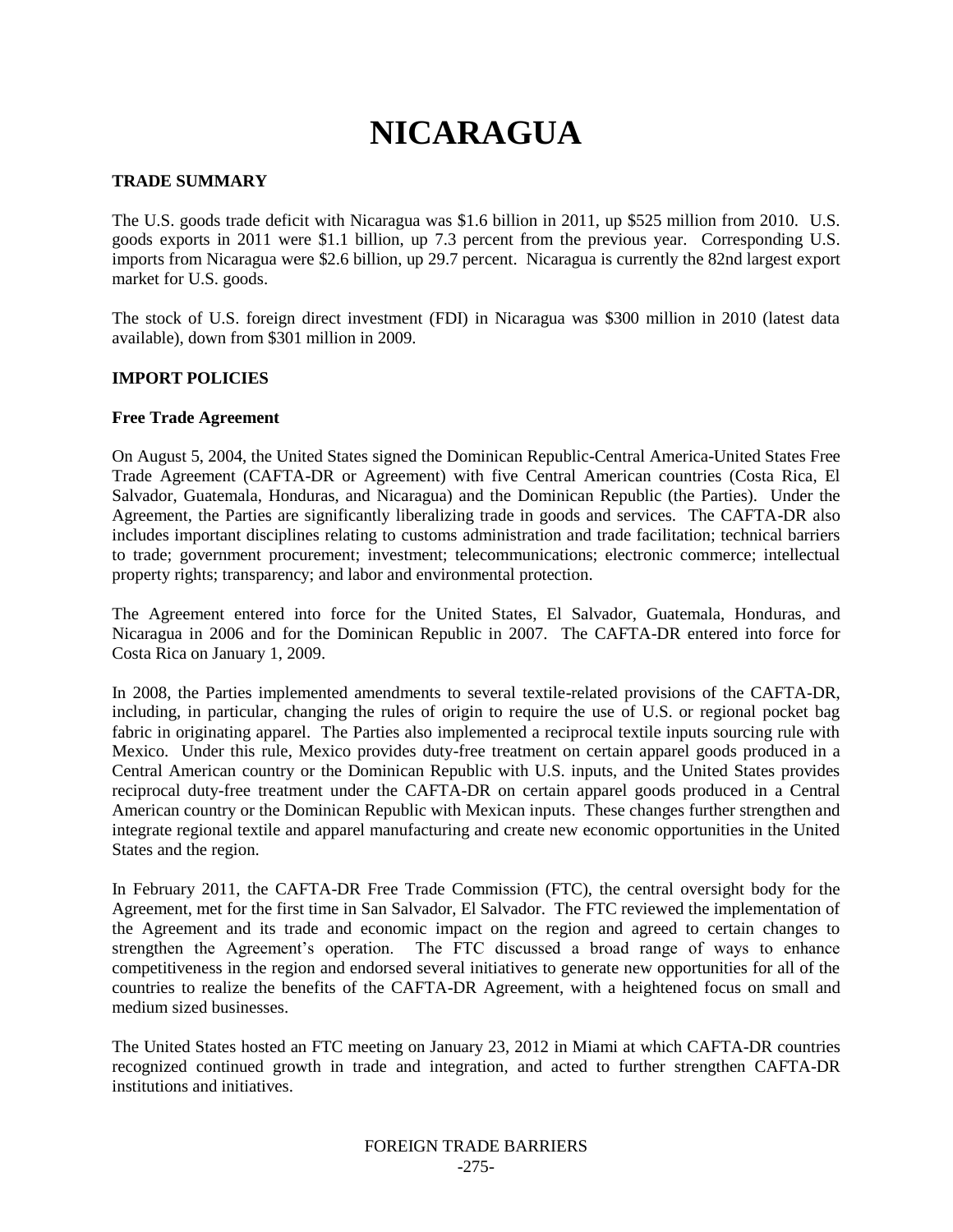# **NICARAGUA**

### **TRADE SUMMARY**

The U.S. goods trade deficit with Nicaragua was \$1.6 billion in 2011, up \$525 million from 2010. U.S. goods exports in 2011 were \$1.1 billion, up 7.3 percent from the previous year. Corresponding U.S. imports from Nicaragua were \$2.6 billion, up 29.7 percent. Nicaragua is currently the 82nd largest export market for U.S. goods.

The stock of U.S. foreign direct investment (FDI) in Nicaragua was \$300 million in 2010 (latest data available), down from \$301 million in 2009.

#### **IMPORT POLICIES**

#### **Free Trade Agreement**

On August 5, 2004, the United States signed the Dominican Republic-Central America-United States Free Trade Agreement (CAFTA-DR or Agreement) with five Central American countries (Costa Rica, El Salvador, Guatemala, Honduras, and Nicaragua) and the Dominican Republic (the Parties). Under the Agreement, the Parties are significantly liberalizing trade in goods and services. The CAFTA-DR also includes important disciplines relating to customs administration and trade facilitation; technical barriers to trade; government procurement; investment; telecommunications; electronic commerce; intellectual property rights; transparency; and labor and environmental protection.

The Agreement entered into force for the United States, El Salvador, Guatemala, Honduras, and Nicaragua in 2006 and for the Dominican Republic in 2007. The CAFTA-DR entered into force for Costa Rica on January 1, 2009.

In 2008, the Parties implemented amendments to several textile-related provisions of the CAFTA-DR, including, in particular, changing the rules of origin to require the use of U.S. or regional pocket bag fabric in originating apparel. The Parties also implemented a reciprocal textile inputs sourcing rule with Mexico. Under this rule, Mexico provides duty-free treatment on certain apparel goods produced in a Central American country or the Dominican Republic with U.S. inputs, and the United States provides reciprocal duty-free treatment under the CAFTA-DR on certain apparel goods produced in a Central American country or the Dominican Republic with Mexican inputs. These changes further strengthen and integrate regional textile and apparel manufacturing and create new economic opportunities in the United States and the region.

In February 2011, the CAFTA-DR Free Trade Commission (FTC), the central oversight body for the Agreement, met for the first time in San Salvador, El Salvador. The FTC reviewed the implementation of the Agreement and its trade and economic impact on the region and agreed to certain changes to strengthen the Agreement"s operation. The FTC discussed a broad range of ways to enhance competitiveness in the region and endorsed several initiatives to generate new opportunities for all of the countries to realize the benefits of the CAFTA-DR Agreement, with a heightened focus on small and medium sized businesses.

The United States hosted an FTC meeting on January 23, 2012 in Miami at which CAFTA-DR countries recognized continued growth in trade and integration, and acted to further strengthen CAFTA-DR institutions and initiatives.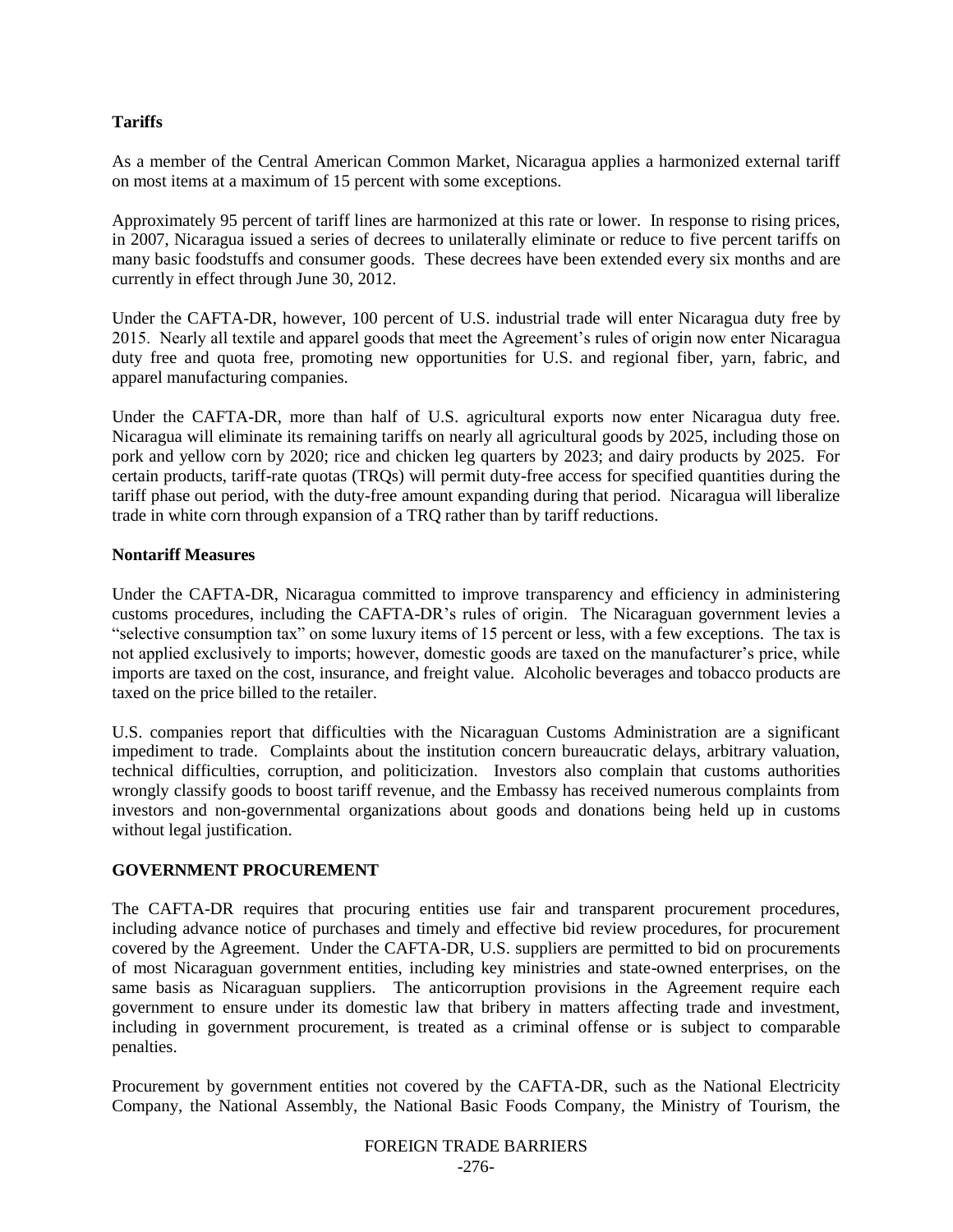## **Tariffs**

As a member of the Central American Common Market, Nicaragua applies a harmonized external tariff on most items at a maximum of 15 percent with some exceptions.

Approximately 95 percent of tariff lines are harmonized at this rate or lower. In response to rising prices, in 2007, Nicaragua issued a series of decrees to unilaterally eliminate or reduce to five percent tariffs on many basic foodstuffs and consumer goods. These decrees have been extended every six months and are currently in effect through June 30, 2012.

Under the CAFTA-DR, however, 100 percent of U.S. industrial trade will enter Nicaragua duty free by 2015. Nearly all textile and apparel goods that meet the Agreement"s rules of origin now enter Nicaragua duty free and quota free, promoting new opportunities for U.S. and regional fiber, yarn, fabric, and apparel manufacturing companies.

Under the CAFTA-DR, more than half of U.S. agricultural exports now enter Nicaragua duty free. Nicaragua will eliminate its remaining tariffs on nearly all agricultural goods by 2025, including those on pork and yellow corn by 2020; rice and chicken leg quarters by 2023; and dairy products by 2025. For certain products, tariff-rate quotas (TRQs) will permit duty-free access for specified quantities during the tariff phase out period, with the duty-free amount expanding during that period. Nicaragua will liberalize trade in white corn through expansion of a TRQ rather than by tariff reductions.

## **Nontariff Measures**

Under the CAFTA-DR, Nicaragua committed to improve transparency and efficiency in administering customs procedures, including the CAFTA-DR"s rules of origin. The Nicaraguan government levies a "selective consumption tax" on some luxury items of 15 percent or less, with a few exceptions. The tax is not applied exclusively to imports; however, domestic goods are taxed on the manufacturer's price, while imports are taxed on the cost, insurance, and freight value. Alcoholic beverages and tobacco products are taxed on the price billed to the retailer.

U.S. companies report that difficulties with the Nicaraguan Customs Administration are a significant impediment to trade. Complaints about the institution concern bureaucratic delays, arbitrary valuation, technical difficulties, corruption, and politicization. Investors also complain that customs authorities wrongly classify goods to boost tariff revenue, and the Embassy has received numerous complaints from investors and non-governmental organizations about goods and donations being held up in customs without legal justification.

## **GOVERNMENT PROCUREMENT**

The CAFTA-DR requires that procuring entities use fair and transparent procurement procedures, including advance notice of purchases and timely and effective bid review procedures, for procurement covered by the Agreement. Under the CAFTA-DR, U.S. suppliers are permitted to bid on procurements of most Nicaraguan government entities, including key ministries and state-owned enterprises, on the same basis as Nicaraguan suppliers. The anticorruption provisions in the Agreement require each government to ensure under its domestic law that bribery in matters affecting trade and investment, including in government procurement, is treated as a criminal offense or is subject to comparable penalties.

Procurement by government entities not covered by the CAFTA-DR, such as the National Electricity Company, the National Assembly, the National Basic Foods Company, the Ministry of Tourism, the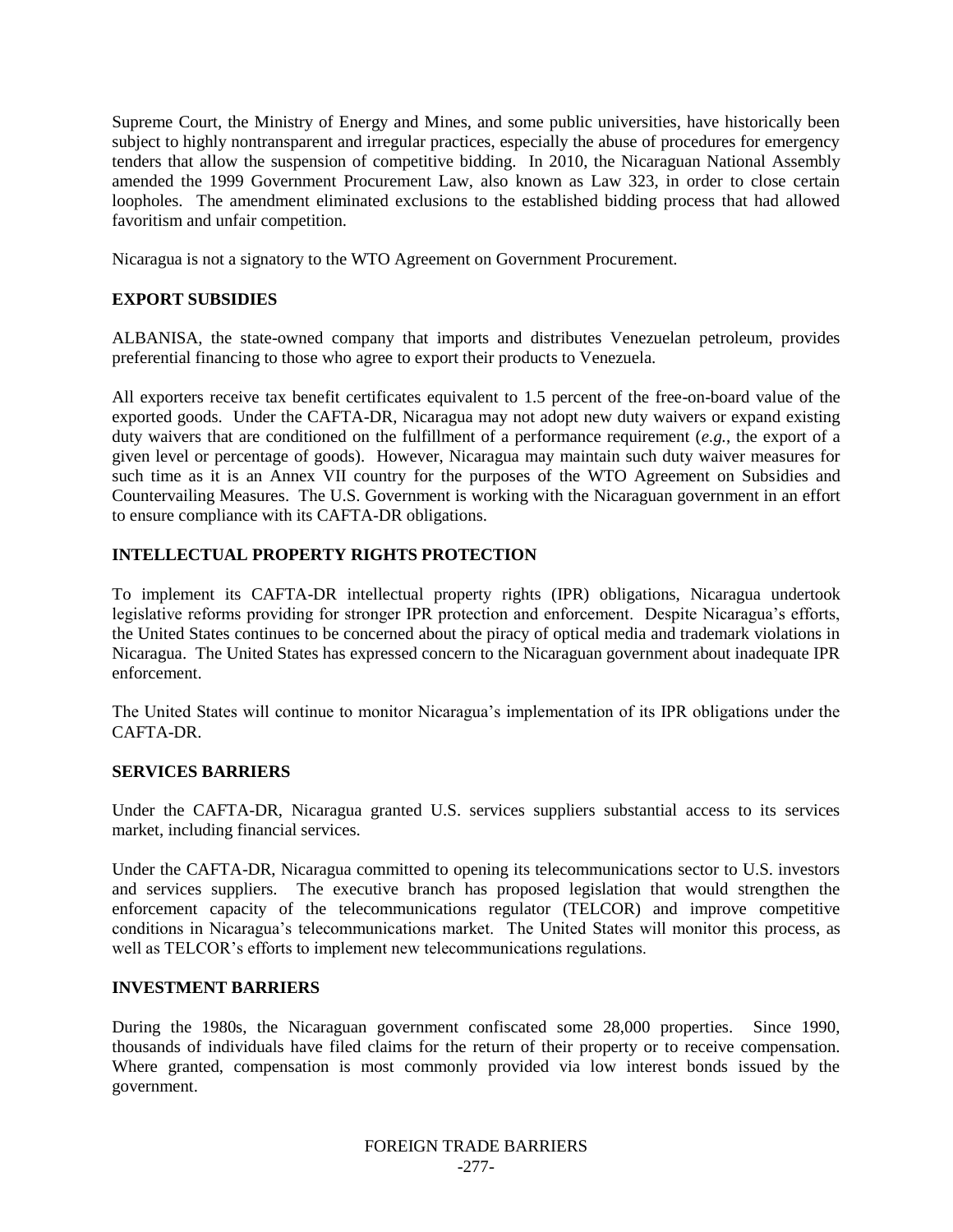Supreme Court, the Ministry of Energy and Mines, and some public universities, have historically been subject to highly nontransparent and irregular practices, especially the abuse of procedures for emergency tenders that allow the suspension of competitive bidding. In 2010, the Nicaraguan National Assembly amended the 1999 Government Procurement Law, also known as Law 323, in order to close certain loopholes. The amendment eliminated exclusions to the established bidding process that had allowed favoritism and unfair competition.

Nicaragua is not a signatory to the WTO Agreement on Government Procurement.

## **EXPORT SUBSIDIES**

ALBANISA, the state-owned company that imports and distributes Venezuelan petroleum, provides preferential financing to those who agree to export their products to Venezuela.

All exporters receive tax benefit certificates equivalent to 1.5 percent of the free-on-board value of the exported goods. Under the CAFTA-DR, Nicaragua may not adopt new duty waivers or expand existing duty waivers that are conditioned on the fulfillment of a performance requirement (*e.g.*, the export of a given level or percentage of goods). However, Nicaragua may maintain such duty waiver measures for such time as it is an Annex VII country for the purposes of the WTO Agreement on Subsidies and Countervailing Measures. The U.S. Government is working with the Nicaraguan government in an effort to ensure compliance with its CAFTA-DR obligations.

## **INTELLECTUAL PROPERTY RIGHTS PROTECTION**

To implement its CAFTA-DR intellectual property rights (IPR) obligations, Nicaragua undertook legislative reforms providing for stronger IPR protection and enforcement. Despite Nicaragua's efforts, the United States continues to be concerned about the piracy of optical media and trademark violations in Nicaragua. The United States has expressed concern to the Nicaraguan government about inadequate IPR enforcement.

The United States will continue to monitor Nicaragua"s implementation of its IPR obligations under the CAFTA-DR.

## **SERVICES BARRIERS**

Under the CAFTA-DR, Nicaragua granted U.S. services suppliers substantial access to its services market, including financial services.

Under the CAFTA-DR, Nicaragua committed to opening its telecommunications sector to U.S. investors and services suppliers. The executive branch has proposed legislation that would strengthen the enforcement capacity of the telecommunications regulator (TELCOR) and improve competitive conditions in Nicaragua's telecommunications market. The United States will monitor this process, as well as TELCOR's efforts to implement new telecommunications regulations.

## **INVESTMENT BARRIERS**

During the 1980s, the Nicaraguan government confiscated some 28,000 properties. Since 1990, thousands of individuals have filed claims for the return of their property or to receive compensation. Where granted, compensation is most commonly provided via low interest bonds issued by the government.